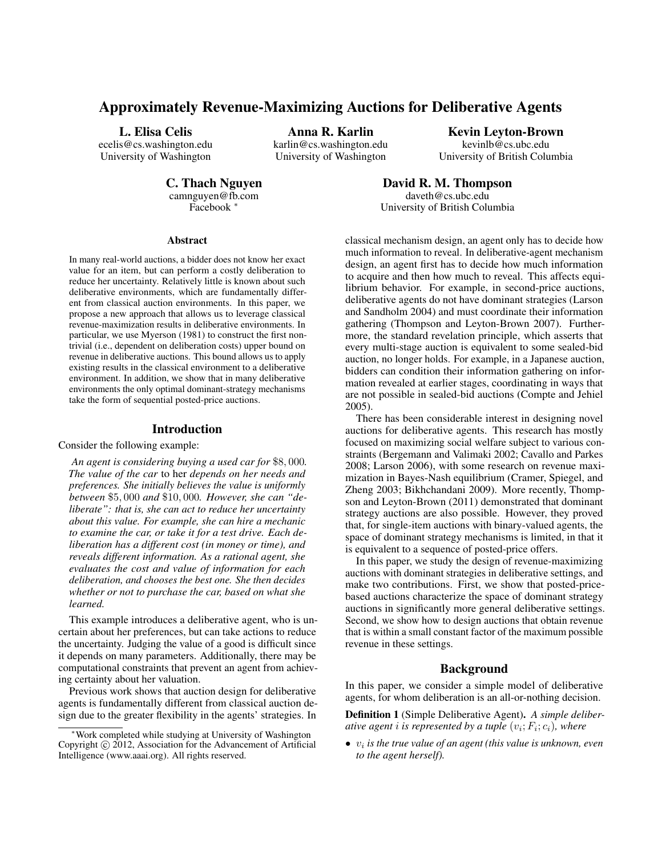# Approximately Revenue-Maximizing Auctions for Deliberative Agents

L. Elisa Celis

ecelis@cs.washington.edu University of Washington

Anna R. Karlin

karlin@cs.washington.edu University of Washington

Kevin Leyton-Brown kevinlb@cs.ubc.edu University of British Columbia

C. Thach Nguyen

camnguyen@fb.com Facebook <sup>∗</sup>

David R. M. Thompson daveth@cs.ubc.edu University of British Columbia

#### Abstract

In many real-world auctions, a bidder does not know her exact value for an item, but can perform a costly deliberation to reduce her uncertainty. Relatively little is known about such deliberative environments, which are fundamentally different from classical auction environments. In this paper, we propose a new approach that allows us to leverage classical revenue-maximization results in deliberative environments. In particular, we use Myerson (1981) to construct the first nontrivial (i.e., dependent on deliberation costs) upper bound on revenue in deliberative auctions. This bound allows us to apply existing results in the classical environment to a deliberative environment. In addition, we show that in many deliberative environments the only optimal dominant-strategy mechanisms take the form of sequential posted-price auctions.

### Introduction

Consider the following example:

*An agent is considering buying a used car for* \$8, 000*. The value of the car* to her *depends on her needs and preferences. She initially believes the value is uniformly between* \$5, 000 *and* \$10, 000*. However, she can "deliberate": that is, she can act to reduce her uncertainty about this value. For example, she can hire a mechanic to examine the car, or take it for a test drive. Each deliberation has a different cost (in money or time), and reveals different information. As a rational agent, she evaluates the cost and value of information for each deliberation, and chooses the best one. She then decides whether or not to purchase the car, based on what she learned.*

This example introduces a deliberative agent, who is uncertain about her preferences, but can take actions to reduce the uncertainty. Judging the value of a good is difficult since it depends on many parameters. Additionally, there may be computational constraints that prevent an agent from achieving certainty about her valuation.

Previous work shows that auction design for deliberative agents is fundamentally different from classical auction design due to the greater flexibility in the agents' strategies. In classical mechanism design, an agent only has to decide how much information to reveal. In deliberative-agent mechanism design, an agent first has to decide how much information to acquire and then how much to reveal. This affects equilibrium behavior. For example, in second-price auctions, deliberative agents do not have dominant strategies (Larson and Sandholm 2004) and must coordinate their information gathering (Thompson and Leyton-Brown 2007). Furthermore, the standard revelation principle, which asserts that every multi-stage auction is equivalent to some sealed-bid auction, no longer holds. For example, in a Japanese auction, bidders can condition their information gathering on information revealed at earlier stages, coordinating in ways that are not possible in sealed-bid auctions (Compte and Jehiel 2005).

There has been considerable interest in designing novel auctions for deliberative agents. This research has mostly focused on maximizing social welfare subject to various constraints (Bergemann and Valimaki 2002; Cavallo and Parkes 2008; Larson 2006), with some research on revenue maximization in Bayes-Nash equilibrium (Cramer, Spiegel, and Zheng 2003; Bikhchandani 2009). More recently, Thompson and Leyton-Brown (2011) demonstrated that dominant strategy auctions are also possible. However, they proved that, for single-item auctions with binary-valued agents, the space of dominant strategy mechanisms is limited, in that it is equivalent to a sequence of posted-price offers.

In this paper, we study the design of revenue-maximizing auctions with dominant strategies in deliberative settings, and make two contributions. First, we show that posted-pricebased auctions characterize the space of dominant strategy auctions in significantly more general deliberative settings. Second, we show how to design auctions that obtain revenue that is within a small constant factor of the maximum possible revenue in these settings.

# Background

In this paper, we consider a simple model of deliberative agents, for whom deliberation is an all-or-nothing decision.

Definition 1 (Simple Deliberative Agent). *A simple deliberative agent*  $i$  *is represented by a tuple*  $(v_i; F_i; c_i)$ *, where* 

 $\bullet$   $v_i$  *is the true value of an agent (this value is unknown, even to the agent herself).*

<sup>∗</sup>Work completed while studying at University of Washington Copyright © 2012, Association for the Advancement of Artificial Intelligence (www.aaai.org). All rights reserved.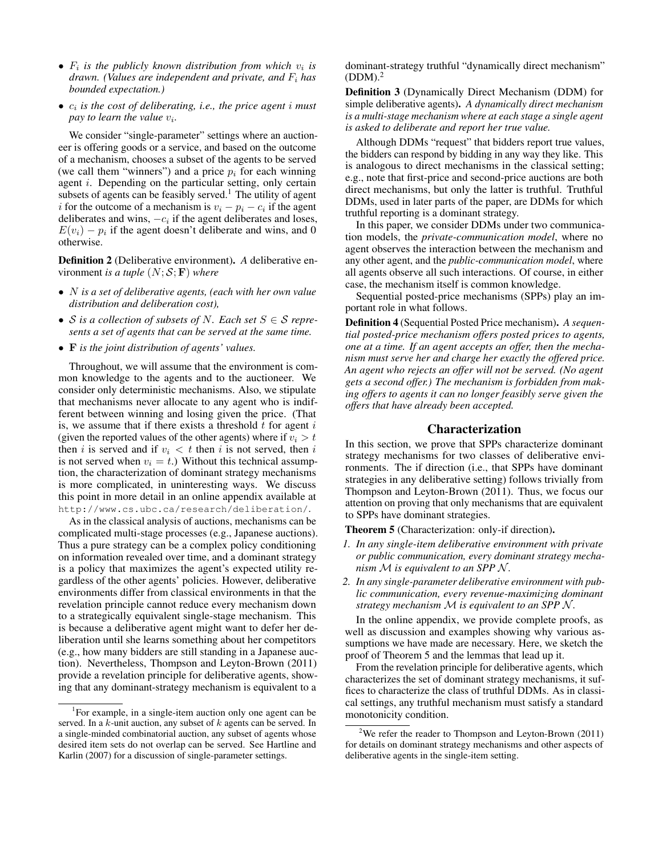- $F_i$  is the publicly known distribution from which  $v_i$  is *drawn. (Values are independent and private, and* F<sup>i</sup> *has bounded expectation.)*
- $c_i$  *is the cost of deliberating, i.e., the price agent i must pay to learn the value* v<sup>i</sup> *.*

We consider "single-parameter" settings where an auctioneer is offering goods or a service, and based on the outcome of a mechanism, chooses a subset of the agents to be served (we call them "winners") and a price  $p_i$  for each winning agent *i*. Depending on the particular setting, only certain subsets of agents can be feasibly served.<sup>1</sup> The utility of agent i for the outcome of a mechanism is  $v_i - p_i - c_i$  if the agent deliberates and wins,  $-c_i$  if the agent deliberates and loses,  $E(v_i) - p_i$  if the agent doesn't deliberate and wins, and 0 otherwise.

Definition 2 (Deliberative environment). *A* deliberative environment *is a tuple*  $(N; S; F)$  *where* 

- N *is a set of deliberative agents, (each with her own value distribution and deliberation cost),*
- *S* is a collection of subsets of N. Each set  $S \in S$  repre*sents a set of agents that can be served at the same time.*
- F *is the joint distribution of agents' values.*

Throughout, we will assume that the environment is common knowledge to the agents and to the auctioneer. We consider only deterministic mechanisms. Also, we stipulate that mechanisms never allocate to any agent who is indifferent between winning and losing given the price. (That is, we assume that if there exists a threshold  $t$  for agent  $i$ (given the reported values of the other agents) where if  $v_i > t$ then i is served and if  $v_i < t$  then i is not served, then i is not served when  $v_i = t$ .) Without this technical assumption, the characterization of dominant strategy mechanisms is more complicated, in uninteresting ways. We discuss this point in more detail in an online appendix available at http://www.cs.ubc.ca/research/deliberation/.

As in the classical analysis of auctions, mechanisms can be complicated multi-stage processes (e.g., Japanese auctions). Thus a pure strategy can be a complex policy conditioning on information revealed over time, and a dominant strategy is a policy that maximizes the agent's expected utility regardless of the other agents' policies. However, deliberative environments differ from classical environments in that the revelation principle cannot reduce every mechanism down to a strategically equivalent single-stage mechanism. This is because a deliberative agent might want to defer her deliberation until she learns something about her competitors (e.g., how many bidders are still standing in a Japanese auction). Nevertheless, Thompson and Leyton-Brown (2011) provide a revelation principle for deliberative agents, showing that any dominant-strategy mechanism is equivalent to a

dominant-strategy truthful "dynamically direct mechanism"  $(DDM)<sup>2</sup>$ 

Definition 3 (Dynamically Direct Mechanism (DDM) for simple deliberative agents). *A dynamically direct mechanism is a multi-stage mechanism where at each stage a single agent is asked to deliberate and report her true value.*

Although DDMs "request" that bidders report true values, the bidders can respond by bidding in any way they like. This is analogous to direct mechanisms in the classical setting; e.g., note that first-price and second-price auctions are both direct mechanisms, but only the latter is truthful. Truthful DDMs, used in later parts of the paper, are DDMs for which truthful reporting is a dominant strategy.

In this paper, we consider DDMs under two communication models, the *private-communication model*, where no agent observes the interaction between the mechanism and any other agent, and the *public-communication model*, where all agents observe all such interactions. Of course, in either case, the mechanism itself is common knowledge.

Sequential posted-price mechanisms (SPPs) play an important role in what follows.

Definition 4 (Sequential Posted Price mechanism). *A sequential posted-price mechanism offers posted prices to agents, one at a time. If an agent accepts an offer, then the mechanism must serve her and charge her exactly the offered price. An agent who rejects an offer will not be served. (No agent gets a second offer.) The mechanism is forbidden from making offers to agents it can no longer feasibly serve given the offers that have already been accepted.*

# Characterization

In this section, we prove that SPPs characterize dominant strategy mechanisms for two classes of deliberative environments. The if direction (i.e., that SPPs have dominant strategies in any deliberative setting) follows trivially from Thompson and Leyton-Brown (2011). Thus, we focus our attention on proving that only mechanisms that are equivalent to SPPs have dominant strategies.

Theorem 5 (Characterization: only-if direction).

- *1. In any single-item deliberative environment with private or public communication, every dominant strategy mechanism*  $M$  *is equivalent to an SPP N.*
- *2. In any single-parameter deliberative environment with public communication, every revenue-maximizing dominant strategy mechanism* M *is equivalent to an SPP N.*

In the online appendix, we provide complete proofs, as well as discussion and examples showing why various assumptions we have made are necessary. Here, we sketch the proof of Theorem 5 and the lemmas that lead up it.

From the revelation principle for deliberative agents, which characterizes the set of dominant strategy mechanisms, it suffices to characterize the class of truthful DDMs. As in classical settings, any truthful mechanism must satisfy a standard monotonicity condition.

<sup>&</sup>lt;sup>1</sup>For example, in a single-item auction only one agent can be served. In a k-unit auction, any subset of k agents can be served. In a single-minded combinatorial auction, any subset of agents whose desired item sets do not overlap can be served. See Hartline and Karlin (2007) for a discussion of single-parameter settings.

<sup>&</sup>lt;sup>2</sup>We refer the reader to Thompson and Leyton-Brown (2011) for details on dominant strategy mechanisms and other aspects of deliberative agents in the single-item setting.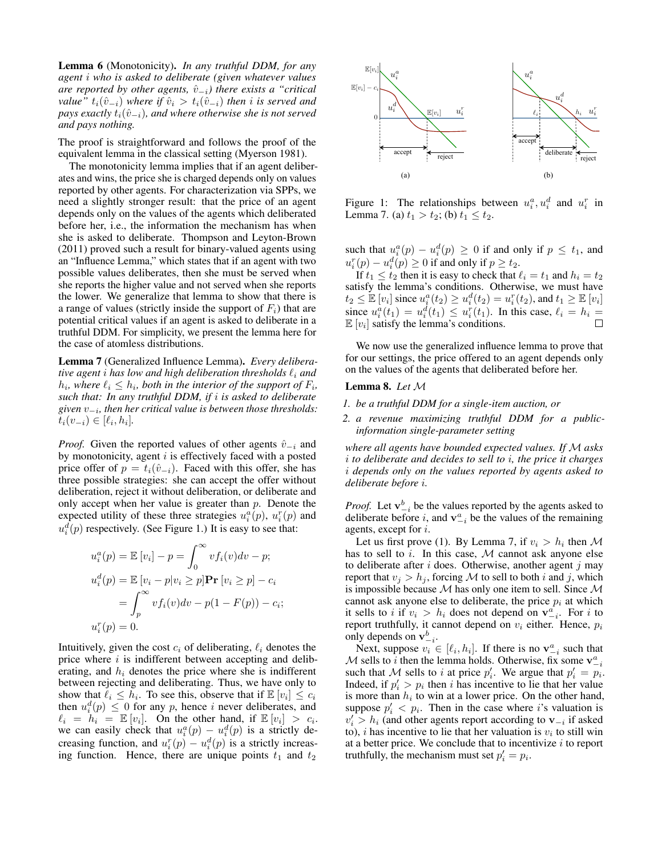Lemma 6 (Monotonicity). *In any truthful DDM, for any agent* i *who is asked to deliberate (given whatever values are reported by other agents,*  $\hat{v}_{-i}$ *) there exists a "critical value*<sup>*n*</sup>  $t_i(\hat{v}_{-i})$  *where if*  $\hat{v}_i > t_i(\hat{v}_{-i})$  *then i is served and pays exactly*  $t_i(\hat{v}_{-i})$ *, and where otherwise she is not served and pays nothing.*

The proof is straightforward and follows the proof of the equivalent lemma in the classical setting (Myerson 1981).

The monotonicity lemma implies that if an agent deliberates and wins, the price she is charged depends only on values reported by other agents. For characterization via SPPs, we need a slightly stronger result: that the price of an agent depends only on the values of the agents which deliberated before her, i.e., the information the mechanism has when she is asked to deliberate. Thompson and Leyton-Brown (2011) proved such a result for binary-valued agents using an "Influence Lemma," which states that if an agent with two possible values deliberates, then she must be served when she reports the higher value and not served when she reports the lower. We generalize that lemma to show that there is a range of values (strictly inside the support of  $F_i$ ) that are potential critical values if an agent is asked to deliberate in a truthful DDM. For simplicity, we present the lemma here for the case of atomless distributions.

Lemma 7 (Generalized Influence Lemma). *Every deliberative agent i has low and high deliberation thresholds*  $\ell_i$  *and*  $h_i$ , where  $\ell_i \leq h_i$ , both in the interior of the support of  $F_i$ , *such that: In any truthful DDM, if* i *is asked to deliberate given* v<sup>−</sup><sup>i</sup> *, then her critical value is between those thresholds:*  $t_i(v_{-i}) \in [\ell_i, h_i].$ 

*Proof.* Given the reported values of other agents  $\hat{v}_{-i}$  and by monotonicity, agent  $i$  is effectively faced with a posted price offer of  $p = t_i(\hat{v}_{-i})$ . Faced with this offer, she has three possible strategies: she can accept the offer without deliberation, reject it without deliberation, or deliberate and only accept when her value is greater than  $p$ . Denote the expected utility of these three strategies  $u_i^a(p)$ ,  $u_i^r(p)$  and  $u_i^d(p)$  respectively. (See Figure 1.) It is easy to see that:

$$
u_i^a(p) = \mathbb{E}[v_i] - p = \int_0^\infty v f_i(v) dv - p;
$$
  
\n
$$
u_i^d(p) = \mathbb{E}[v_i - p|v_i \ge p] \mathbf{Pr}[v_i \ge p] - c_i
$$
  
\n
$$
= \int_p^\infty v f_i(v) dv - p(1 - F(p)) - c_i;
$$
  
\n
$$
u_i^r(p) = 0.
$$

Intuitively, given the cost  $c_i$  of deliberating,  $\ell_i$  denotes the price where  $i$  is indifferent between accepting and deliberating, and  $h_i$  denotes the price where she is indifferent between rejecting and deliberating. Thus, we have only to show that  $\ell_i \leq h_i$ . To see this, observe that if  $\mathbb{E}[v_i] \leq c_i$ then  $u_i^d(p) \leq 0$  for any p, hence *i* never deliberates, and  $\ell_i = h_i = \mathbb{E}[v_i]$ . On the other hand, if  $\mathbb{E}[v_i] > c_i$ . we can easily check that  $u_i^a(p) - u_i^d(p)$  is a strictly decreasing function, and  $u_i^r(p) - u_i^d(p)$  is a strictly increasing function. Hence, there are unique points  $t_1$  and  $t_2$ 



Figure 1: The relationships between  $u_i^a, u_i^d$  and  $u_i^r$  in Lemma 7. (a)  $t_1 > t_2$ ; (b)  $t_1 \le t_2$ .

such that  $u_i^a(p) - u_i^d(p) \ge 0$  if and only if  $p \le t_1$ , and  $u_i^r(p) - u_i^d(p) \ge 0$  if and only if  $p \ge t_2$ .

If  $t_1 \le t_2$  then it is easy to check that  $\ell_i = t_1$  and  $h_i = t_2$ satisfy the lemma's conditions. Otherwise, we must have  $t_2 \leq \mathbb{E} [v_i]$  since  $u_i^a(t_2) \geq u_i^d(t_2) = u_i^r(t_2)$ , and  $t_1 \geq \mathbb{E} [v_i]$ since  $u_i^a(t_1) = u_i^d(t_1) \leq u_i^r(t_1)$ . In this case,  $\ell_i = h_i =$  $\mathbb{E}[v_i]$  satisfy the lemma's conditions.

We now use the generalized influence lemma to prove that for our settings, the price offered to an agent depends only on the values of the agents that deliberated before her.

#### Lemma 8. *Let* M

- *1. be a truthful DDM for a single-item auction, or*
- *2. a revenue maximizing truthful DDM for a publicinformation single-parameter setting*

*where all agents have bounded expected values. If* M *asks* i *to deliberate and decides to sell to* i*, the price it charges* i *depends only on the values reported by agents asked to deliberate before* i*.*

*Proof.* Let  $\mathbf{v}_{-i}^b$  be the values reported by the agents asked to deliberate before *i*, and  $v_{-i}^a$  be the values of the remaining agents, except for i.

Let us first prove (1). By Lemma 7, if  $v_i > h_i$  then M has to sell to  $i$ . In this case,  $M$  cannot ask anyone else to deliberate after  $i$  does. Otherwise, another agent  $j$  may report that  $v_j > h_j$ , forcing M to sell to both i and j, which is impossible because  $M$  has only one item to sell. Since  $M$ cannot ask anyone else to deliberate, the price  $p_i$  at which it sells to *i* if  $v_i > h_i$  does not depend on  $\mathbf{v}_{-i}^a$ . For *i* to report truthfully, it cannot depend on  $v_i$  either. Hence,  $p_i$ only depends on  $\mathbf{v}_{-i}^b$ .

Next, suppose  $v_i \in [\ell_i, h_i]$ . If there is no  $\mathbf{v}_{i}^a$  such that M sells to i then the lemma holds. Otherwise, fix some  $\mathbf{v}_{-i}^a$ such that M sells to i at price  $p'_i$ . We argue that  $p'_i = p_i$ . Indeed, if  $p'_i > p_i$  then i has incentive to lie that her value is more than  $h_i$  to win at a lower price. On the other hand, suppose  $p'_i < p_i$ . Then in the case where *i*'s valuation is  $v_i' > h_i$  (and other agents report according to  $v_{-i}$  if asked to), *i* has incentive to lie that her valuation is  $v_i$  to still win at a better price. We conclude that to incentivize  $i$  to report truthfully, the mechanism must set  $p'_i = p_i$ .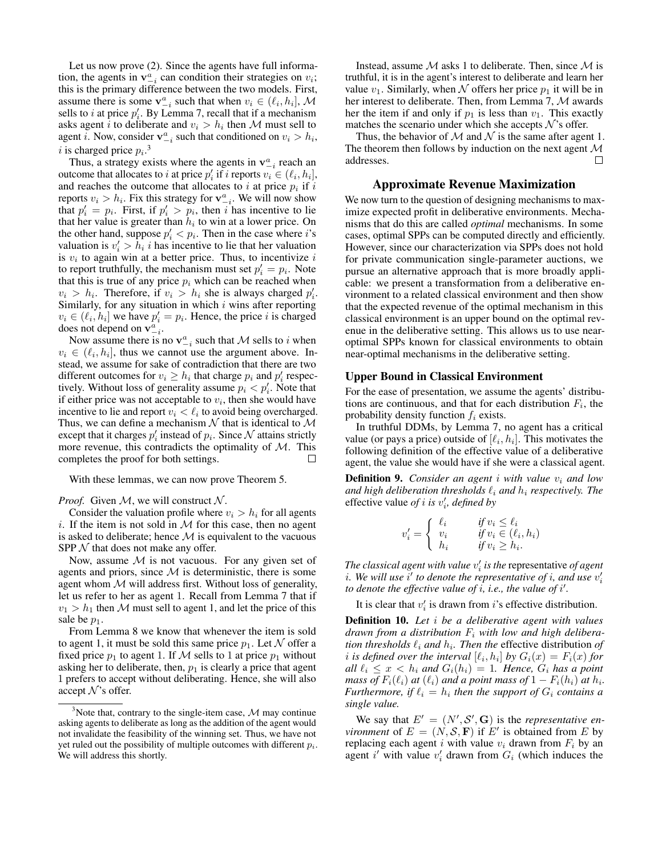Let us now prove (2). Since the agents have full information, the agents in  $v_{-i}^a$  can condition their strategies on  $v_i$ ; this is the primary difference between the two models. First, assume there is some  $\mathbf{v}_{i}^{a}$  such that when  $v_{i} \in (\ell_{i}, h_{i}], \mathcal{M}$ sells to *i* at price  $p'_i$ . By Lemma 7, recall that if a mechanism asks agent *i* to deliberate and  $v_i > h_i$  then M must sell to agent *i*. Now, consider  $\mathbf{v}_{-i}^a$  such that conditioned on  $v_i > h_i$ , i is charged price  $p_i$ .<sup>3</sup>

Thus, a strategy exists where the agents in  $\mathbf{v}_{-i}^a$  reach an outcome that allocates to i at price  $p'_i$  if i reports  $v_i \in (\ell_i, h_i]$ , and reaches the outcome that allocates to  $i$  at price  $p_i$  if  $i$ reports  $v_i > h_i$ . Fix this strategy for  $\mathbf{v}_{-i}^a$ . We will now show that  $p'_i = p_i$ . First, if  $p'_i > p_i$ , then i has incentive to lie that her value is greater than  $h_i$  to win at a lower price. On the other hand, suppose  $p'_i < p_i$ . Then in the case where *i*'s valuation is  $v'_i > \tilde{h}_i$  *i* has incentive to lie that her valuation is  $v_i$  to again win at a better price. Thus, to incentivize  $i$ to report truthfully, the mechanism must set  $p'_i = p_i$ . Note that this is true of any price  $p_i$  which can be reached when  $v_i > h_i$ . Therefore, if  $v_i > h_i$  she is always charged  $p'_i$ . Similarly, for any situation in which  $i$  wins after reporting  $v_i \in (\ell_i, h_i]$  we have  $p'_i = p_i$ . Hence, the price i is charged does not depend on  $v_{-i}^a$ .

Now assume there is no  $v_{-i}^a$  such that M sells to i when  $v_i \in (\ell_i, h_i]$ , thus we cannot use the argument above. Instead, we assume for sake of contradiction that there are two different outcomes for  $v_i \geq h_i$  that charge  $p_i$  and  $p'_i$  respectively. Without loss of generality assume  $p_i < p'_i$ . Note that if either price was not acceptable to  $v_i$ , then she would have incentive to lie and report  $v_i < \ell_i$  to avoid being overcharged. Thus, we can define a mechanism  $N$  that is identical to  $M$ except that it charges  $p'_i$  instead of  $p_i$ . Since N attains strictly more revenue, this contradicts the optimality of  $M$ . This completes the proof for both settings. completes the proof for both settings.

With these lemmas, we can now prove Theorem 5.

*Proof.* Given  $M$ , we will construct  $N$ .

Consider the valuation profile where  $v_i > h_i$  for all agents i. If the item is not sold in  $M$  for this case, then no agent is asked to deliberate; hence  $M$  is equivalent to the vacuous SPP  $N$  that does not make any offer.

Now, assume  $M$  is not vacuous. For any given set of agents and priors, since  $M$  is deterministic, there is some agent whom  $M$  will address first. Without loss of generality, let us refer to her as agent 1. Recall from Lemma 7 that if  $v_1 > h_1$  then M must sell to agent 1, and let the price of this sale be  $p_1$ .

From Lemma 8 we know that whenever the item is sold to agent 1, it must be sold this same price  $p_1$ . Let N offer a fixed price  $p_1$  to agent 1. If M sells to 1 at price  $p_1$  without asking her to deliberate, then,  $p_1$  is clearly a price that agent 1 prefers to accept without deliberating. Hence, she will also accept  $\mathcal{N}$ 's offer.

Instead, assume  $M$  asks 1 to deliberate. Then, since  $M$  is truthful, it is in the agent's interest to deliberate and learn her value  $v_1$ . Similarly, when N offers her price  $p_1$  it will be in her interest to deliberate. Then, from Lemma 7, M awards her the item if and only if  $p_1$  is less than  $v_1$ . This exactly matches the scenario under which she accepts  $\mathcal{N}$ 's offer.

Thus, the behavior of  $M$  and  $N$  is the same after agent 1. The theorem then follows by induction on the next agent  $\mathcal M$  addresses. addresses.

#### Approximate Revenue Maximization

We now turn to the question of designing mechanisms to maximize expected profit in deliberative environments. Mechanisms that do this are called *optimal* mechanisms. In some cases, optimal SPPs can be computed directly and efficiently. However, since our characterization via SPPs does not hold for private communication single-parameter auctions, we pursue an alternative approach that is more broadly applicable: we present a transformation from a deliberative environment to a related classical environment and then show that the expected revenue of the optimal mechanism in this classical environment is an upper bound on the optimal revenue in the deliberative setting. This allows us to use nearoptimal SPPs known for classical environments to obtain near-optimal mechanisms in the deliberative setting.

#### Upper Bound in Classical Environment

For the ease of presentation, we assume the agents' distributions are continuous, and that for each distribution  $F_i$ , the probability density function  $f_i$  exists.

In truthful DDMs, by Lemma 7, no agent has a critical value (or pays a price) outside of  $[\ell_i, h_i]$ . This motivates the following definition of the effective value of a deliberative agent, the value she would have if she were a classical agent.

**Definition 9.** Consider an agent *i* with value  $v_i$  and low *and high deliberation thresholds*  $\ell_i$  *and*  $h_i$  *respectively. The* effective value *of i* is  $v'_i$ , defined by

$$
v'_{i} = \begin{cases} \ell_{i} & \text{if } v_{i} \leq \ell_{i} \\ v_{i} & \text{if } v_{i} \in (\ell_{i}, h_{i}) \\ h_{i} & \text{if } v_{i} \geq h_{i} .\end{cases}
$$

*The classical agent with value*  $v_i'$  *is the representative of agent i*. We will use  $i'$  to denote the representative of *i*, and use  $v_i'$ to denote the effective value of  $i$ , i.e., the value of  $i'$ .

It is clear that  $v_i'$  is drawn from i's effective distribution.

Definition 10. *Let* i *be a deliberative agent with values drawn from a distribution* F<sup>i</sup> *with low and high deliberation thresholds*  $\ell_i$  *and*  $h_i$ . *Then the* effective distribution *of i* is defined over the interval  $[\ell_i, h_i]$  by  $G_i(x) = F_i(x)$  for *all*  $\ell_i \leq x < h_i$  *and*  $G_i(h_i) = 1$ *. Hence,*  $G_i$  *has a point mass of*  $F_i(\ell_i)$  *at*  $(\ell_i)$  *and a point mass of*  $1 - F_i(h_i)$  *at*  $h_i$ *. Furthermore, if*  $\ell_i = h_i$  *then the support of*  $G_i$  *contains a single value.*

We say that  $E' = (N', S', G)$  is the *representative environment* of  $E = (N, S, \mathbf{F})$  if E' is obtained from E by replacing each agent i with value  $v_i$  drawn from  $F_i$  by an agent i' with value  $v_i'$  drawn from  $G_i$  (which induces the

 $3$ Note that, contrary to the single-item case,  $M$  may continue asking agents to deliberate as long as the addition of the agent would not invalidate the feasibility of the winning set. Thus, we have not yet ruled out the possibility of multiple outcomes with different  $p_i$ . We will address this shortly.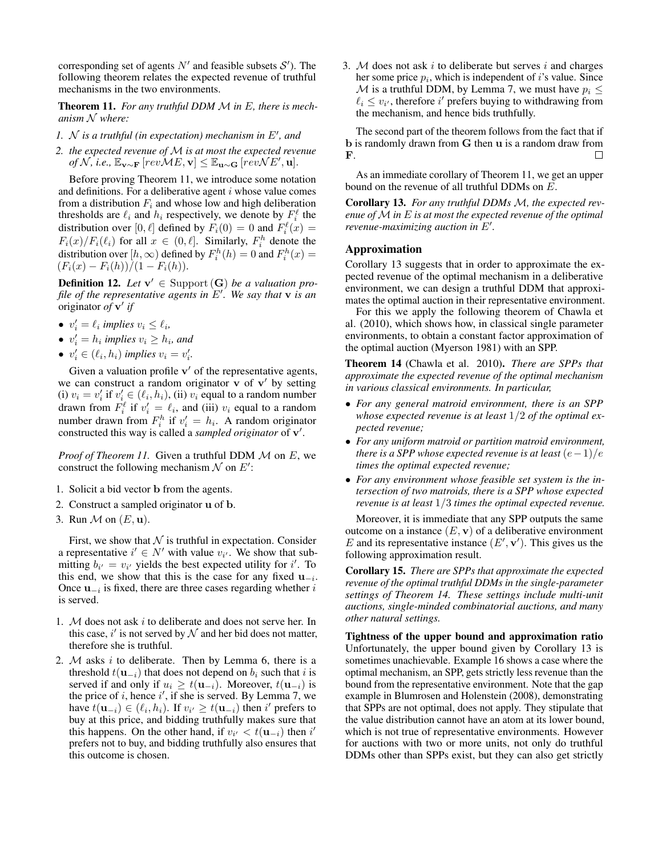corresponding set of agents  $N'$  and feasible subsets  $S'$ ). The following theorem relates the expected revenue of truthful mechanisms in the two environments.

Theorem 11. *For any truthful DDM* M *in* E*, there is mechanism* N *where:*

- $1.$   $N$  *is a truthful (in expectation) mechanism in E', and*
- *2. the expected revenue of* M *is at most the expected revenue of*  $N$ , *i.e.*,  $\mathbb{E}_{\mathbf{v} \sim \mathbf{F}}$  [ $revME$ ,  $\mathbf{v}$ ] ≤  $\mathbb{E}_{\mathbf{u} \sim \mathbf{G}}$  [ $revNE'$ , **u**].

Before proving Theorem 11, we introduce some notation and definitions. For a deliberative agent  $i$  whose value comes from a distribution  $F_i$  and whose low and high deliberation thresholds are  $\ell_i$  and  $h_i$  respectively, we denote by  $F_i^{\ell}$  the distribution over [0,  $\ell$ ] defined by  $F_i(0) = 0$  and  $F_i^{\ell}(x) =$  $F_i(x)/F_i(\ell_i)$  for all  $x \in (0, \ell]$ . Similarly,  $F_i^h$  denote the distribution over  $[h, \infty)$  defined by  $F_i^h(h) = 0$  and  $F_i^h(x) =$  $(F_i(x) - F_i(h))/(1 - F_i(h)).$ 

**Definition 12.** Let  $\mathbf{v}' \in \text{Support}(\mathbf{G})$  be a valuation profile of the representative agents in  $E'$ . We say that **v** is an originator *of* **v**' *if* 

- $v'_i = \ell_i$  implies  $v_i \leq \ell_i$ ,
- $v'_i = h_i$  implies  $v_i \geq h_i$ , and
- $v'_i \in (\ell_i, h_i)$  *implies*  $v_i = v'_i$ .

Given a valuation profile  $v'$  of the representative agents, we can construct a random originator  $\bf{v}$  of  $\bf{v}'$  by setting (i)  $v_i = v'_i$  if  $v'_i \in (\ell_i, h_i)$ , (ii)  $v_i$  equal to a random number drawn from  $F_i^{\ell}$  if  $v'_i = \ell_i$ , and (iii)  $v_i$  equal to a random number drawn from  $F_i^h$  if  $v_i' = h_i$ . A random originator constructed this way is called a *sampled originator* of v'.

*Proof of Theorem 11.* Given a truthful DDM  $M$  on  $E$ , we construct the following mechanism  $\mathcal N$  on  $E'$ :

- 1. Solicit a bid vector b from the agents.
- 2. Construct a sampled originator u of b.
- 3. Run  $\mathcal M$  on  $(E, \mathbf u)$ .

First, we show that  $N$  is truthful in expectation. Consider a representative  $i' \in N'$  with value  $v_{i'}$ . We show that submitting  $b_{i'} = v_{i'}$  yields the best expected utility for i'. To this end, we show that this is the case for any fixed  $\mathbf{u}_{-i}$ . Once  $\mathbf{u}_{-i}$  is fixed, there are three cases regarding whether i is served.

- 1.  $M$  does not ask i to deliberate and does not serve her. In this case,  $i'$  is not served by  $N$  and her bid does not matter, therefore she is truthful.
- 2.  $M$  asks i to deliberate. Then by Lemma 6, there is a threshold  $t(\mathbf{u}_{-i})$  that does not depend on  $b_i$  such that i is served if and only if  $u_i \geq t(\mathbf{u}_{-i})$ . Moreover,  $t(\mathbf{u}_{-i})$  is the price of i, hence i', if she is served. By Lemma 7, we have  $t(\mathbf{u}_{-i}) \in (\ell_i, h_i)$ . If  $v_{i'} \ge t(\mathbf{u}_{-i})$  then  $i'$  prefers to buy at this price, and bidding truthfully makes sure that this happens. On the other hand, if  $v_{i'} < t(\mathbf{u}_{-i})$  then i<sup>'</sup> prefers not to buy, and bidding truthfully also ensures that this outcome is chosen.

3.  $M$  does not ask i to deliberate but serves i and charges her some price  $p_i$ , which is independent of i's value. Since M is a truthful DDM, by Lemma 7, we must have  $p_i \leq$  $\ell_i \leq v_{i'}$ , therefore i' prefers buying to withdrawing from the mechanism, and hence bids truthfully.

The second part of the theorem follows from the fact that if b is randomly drawn from G then u is a random draw from F.  $\Box$ 

As an immediate corollary of Theorem 11, we get an upper bound on the revenue of all truthful DDMs on E.

Corollary 13. *For any truthful DDMs* M*, the expected revenue of* M *in* E *is at most the expected revenue of the optimal revenue-maximizing auction in*  $E'$ *.* 

# Approximation

Corollary 13 suggests that in order to approximate the expected revenue of the optimal mechanism in a deliberative environment, we can design a truthful DDM that approximates the optimal auction in their representative environment.

For this we apply the following theorem of Chawla et al. (2010), which shows how, in classical single parameter environments, to obtain a constant factor approximation of the optimal auction (Myerson 1981) with an SPP.

Theorem 14 (Chawla et al. 2010). *There are SPPs that approximate the expected revenue of the optimal mechanism in various classical environments. In particular,*

- *For any general matroid environment, there is an SPP whose expected revenue is at least* 1/2 *of the optimal expected revenue;*
- *For any uniform matroid or partition matroid environment, there is a SPP whose expected revenue is at least*  $(e-1)/e$ *times the optimal expected revenue;*
- *For any environment whose feasible set system is the intersection of two matroids, there is a SPP whose expected revenue is at least* 1/3 *times the optimal expected revenue.*

Moreover, it is immediate that any SPP outputs the same outcome on a instance  $(E, \mathbf{v})$  of a deliberative environment E and its representative instance  $(E', v')$ . This gives us the following approximation result.

Corollary 15. *There are SPPs that approximate the expected revenue of the optimal truthful DDMs in the single-parameter settings of Theorem 14. These settings include multi-unit auctions, single-minded combinatorial auctions, and many other natural settings.*

Tightness of the upper bound and approximation ratio Unfortunately, the upper bound given by Corollary 13 is sometimes unachievable. Example 16 shows a case where the optimal mechanism, an SPP, gets strictly less revenue than the bound from the representative environment. Note that the gap example in Blumrosen and Holenstein (2008), demonstrating that SPPs are not optimal, does not apply. They stipulate that the value distribution cannot have an atom at its lower bound, which is not true of representative environments. However for auctions with two or more units, not only do truthful DDMs other than SPPs exist, but they can also get strictly